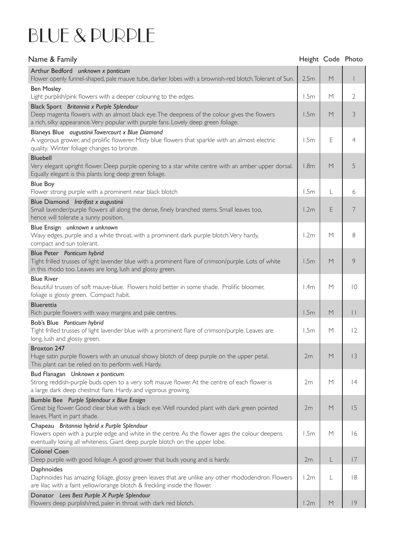## BLUE & PURPLE

| Name & Family                                                                                                                                                                                                                  | Height Code Photo |   |             |
|--------------------------------------------------------------------------------------------------------------------------------------------------------------------------------------------------------------------------------|-------------------|---|-------------|
| Arthur Bedford unknown x ponticum<br>Flower openly funnel-shaped, pale mauve tube, darker lobes with a brownish-red blotch. Tolerant of Sun.                                                                                   | 2.5m              | M |             |
| <b>Ben Mosley</b><br>Light purplish/pink flowers with a deeper colouring to the edges.                                                                                                                                         | 1.5m              | M | 2           |
| Black Sport Britannia x Purple Splendour<br>Deep magenta flowers with an almost black eye. The deepness of the colour gives the flowers<br>a rich, silky appearance. Very popular with purple fans. Lovely deep green foliage. | 1.5m              | M | 3           |
| Blaneys Blue augustinii Towercourt x Blue Diamond<br>A vigorous grower, and prolific flowerer. Misty blue flowers that sparkle with an almost electric<br>quality. Winter foliage changes to bronze.                           | 1.5m              | Е | 4           |
| <b>Bluebell</b><br>Very elegant upright flower. Deep purple opening to a star white centre with an amber upper dorsal.<br>Equally elegant is this plants long deep green foliage.                                              | 1.8 <sub>m</sub>  | М | 5           |
| <b>Blue Boy</b><br>Flower strong purple with a prominent near black blotch                                                                                                                                                     | 1.5m              |   | 6           |
| Blue Diamond Intrifast x augustinii<br>Small lavender/purple flowers all along the dense, finely branched stems. Small leaves too,<br>hence will tolerate a sunny position.                                                    | 1.2m              | E | 7           |
| Blue Ensign unknown x unknown<br>Wavy edges, purple and a white throat, with a prominent dark purple blotch. Very hardy,<br>compact and sun tolerant.                                                                          | 1.2m              | M | 8           |
| Blue Peter Ponticum hybrid<br>Tight frilled trusses of light lavender blue with a prominent flare of crimson/purple. Lots of white<br>in this rhodo too. Leaves are long, lush and glossy green.                               | 1.5m              | M | 9           |
| <b>Blue River</b><br>Beautiful trusses of soft mauve-blue. Flowers hold better in some shade. Prolific bloomer,<br>foliage is glossy green. Compact habit.                                                                     | 1.4m              | M | $ 0\rangle$ |
| <b>Bluerettia</b><br>Rich purple flowers with wavy margins and pale centres.                                                                                                                                                   | 1.5m              | M | Ш           |
| Bob's Blue Ponticum hybrid<br>Tight frilled trusses of light lavender blue with a prominent flare of crimson/purple. Leaves are<br>long, lush and glossy green.                                                                | 1.5m              | M | 12          |
| Broxton 247<br>Huge satin purple flowers with an unusual showy blotch of deep purple on the upper petal.<br>This plant can be relied on to perform well. Hardy.                                                                | 2m                | M | 3           |
| Bud Flanagan Unknown x ponticum<br>Strong reddish-purple buds open to a very soft mauve flower. At the centre of each flower is<br>a large dark deep chestnut flare. Hardy and vigorous growing.                               | 2m                | M | 4           |
| Bumble Bee Purple Splendour x Blue Ensign<br>Great big flower. Good clear blue with a black eye. Well rounded plant with dark green pointed<br>leaves. Plant in part shade.                                                    | 2m                | M | 15          |
| Chapeau Britannia hybrid x Purple Splendour<br>Flowers open with a purple edge and white in the centre. As the flower ages the colour deepens<br>eventually losing all whiteness. Giant deep purple blotch on the upper lobe.  | 1.5m              | M | 16          |
| <b>Colonel Coen</b><br>Deep purple with good foliage. A good grower that buds young and is hardy.                                                                                                                              | 2m                | L | 17          |
| Daphnoides<br>Daphnoides has amazing foliage, glossy green leaves that are unlike any other rhododendron. Flowers<br>are lilac with a faint yellow/orange blotch & freckling inside the flower.                                | 1.2m              | L | 8           |
| Donator Lees Best Purple X Purple Splendour<br>Flowers deep purplish/red, paler in throat with dark red blotch.                                                                                                                | 1.2m              | M | 9           |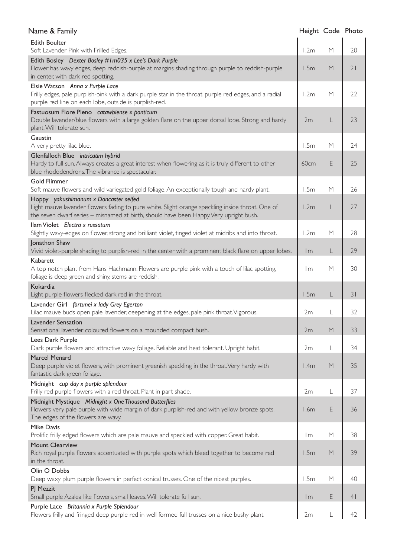| Name & Family                                                                                                                                                                                                                       | Height Code Photo |   |    |
|-------------------------------------------------------------------------------------------------------------------------------------------------------------------------------------------------------------------------------------|-------------------|---|----|
| <b>Edith Boulter</b><br>Soft Lavender Pink with Frilled Edges.                                                                                                                                                                      | 1.2m              | M | 20 |
| Edith Bosley Dexter Bosley #1m035 x Lee's Dark Purple<br>Flower has wavy edges, deep reddish-purple at margins shading through purple to reddish-purple<br>in center, with dark red spotting.                                       | 1.5m              | M | 21 |
| Elsie Watson Anna x Purple Lace<br>Frilly edges, pale purplish-pink with a dark purple star in the throat, purple red edges, and a radial<br>purple red line on each lobe, outside is purplish-red.                                 | 1.2m              | M | 22 |
| Fastuosum Flore Pleno catawbiense x ponticum<br>Double lavender/blue flowers with a large golden flare on the upper dorsal lobe. Strong and hardy<br>plant. Will tolerate sun.                                                      | 2m                |   | 23 |
| Gaustin<br>A very pretty lilac blue.                                                                                                                                                                                                | 1.5m              | M | 24 |
| Glenfalloch Blue intricatim hybrid<br>Hardy to full sun. Always creates a great interest when flowering as it is truly different to other<br>blue rhododendrons. The vibrance is spectacular.                                       | 60cm              | E | 25 |
| <b>Gold Flimmer</b><br>Soft mauve flowers and wild variegated gold foliage. An exceptionally tough and hardy plant.                                                                                                                 | 1.5m              | M | 26 |
| Hoppy yakushimanum x Doncaster selfed<br>Light mauve lavender flowers fading to pure white. Slight orange speckling inside throat. One of<br>the seven dwarf series - misnamed at birth, should have been Happy. Very upright bush. | 1.2m              | L | 27 |
| Ilam Violet Electra x russatum<br>Slightly wavy-edges on flower, strong and brilliant violet, tinged violet at midribs and into throat.                                                                                             | 1.2m              | M | 28 |
| Jonathon Shaw<br>Vivid violet-purple shading to purplish-red in the center with a prominent black flare on upper lobes.                                                                                                             | $\mathsf{Im}$     | L | 29 |
| Kabarett<br>A top notch plant from Hans Hachmann. Flowers are purple pink with a touch of lilac spotting,<br>foliage is deep green and shiny, stems are reddish.                                                                    | Im                | M | 30 |
| Kokardia<br>Light purple flowers flecked dark red in the throat.                                                                                                                                                                    | 1.5m              | L | 31 |
| Lavender Girl fortunei x lady Grey Egerton<br>Lilac mauve buds open pale lavender, deepening at the edges, pale pink throat. Vigorous.                                                                                              | 2m                |   | 32 |
| <b>Lavender Sensation</b><br>Sensational lavender coloured flowers on a mounded compact bush.                                                                                                                                       | 2m                | M | 33 |
| Lees Dark Purple<br>Dark purple flowers and attractive wavy foliage. Reliable and heat tolerant. Upright habit.                                                                                                                     | 2m                | L | 34 |
| <b>Marcel Menard</b><br>Deep purple violet flowers, with prominent greenish speckling in the throat. Very hardy with<br>fantastic dark green foliage.                                                                               | 1.4m              | M | 35 |
| Midnight cup day x purple splendour<br>Frilly red purple flowers with a red throat. Plant in part shade.                                                                                                                            | 2m                |   | 37 |
| Midnight Mystique Midnight x One Thousand Butterflies<br>Flowers very pale purple with wide margin of dark purplish-red and with yellow bronze spots.<br>The edges of the flowers are wavy.                                         | 1.6m              | E | 36 |
| <b>Mike Davis</b><br>Prolific frilly edged flowers which are pale mauve and speckled with copper. Great habit.                                                                                                                      | l m               | M | 38 |
| <b>Mount Clearview</b><br>Rich royal purple flowers accentuated with purple spots which bleed together to become red<br>in the throat.                                                                                              | 1.5m              | M | 39 |
| Olin O Dobbs<br>Deep waxy plum purple flowers in perfect conical trusses. One of the nicest purples.                                                                                                                                | 1.5m              | M | 40 |
| PJ Mezzit<br>Small purple Azalea like flowers, small leaves. Will tolerate full sun.                                                                                                                                                | Im                | Ε | 41 |
| Purple Lace Britannia x Purple Splendour<br>Flowers frilly and fringed deep purple red in well formed full trusses on a nice bushy plant.                                                                                           | 2m                |   | 42 |